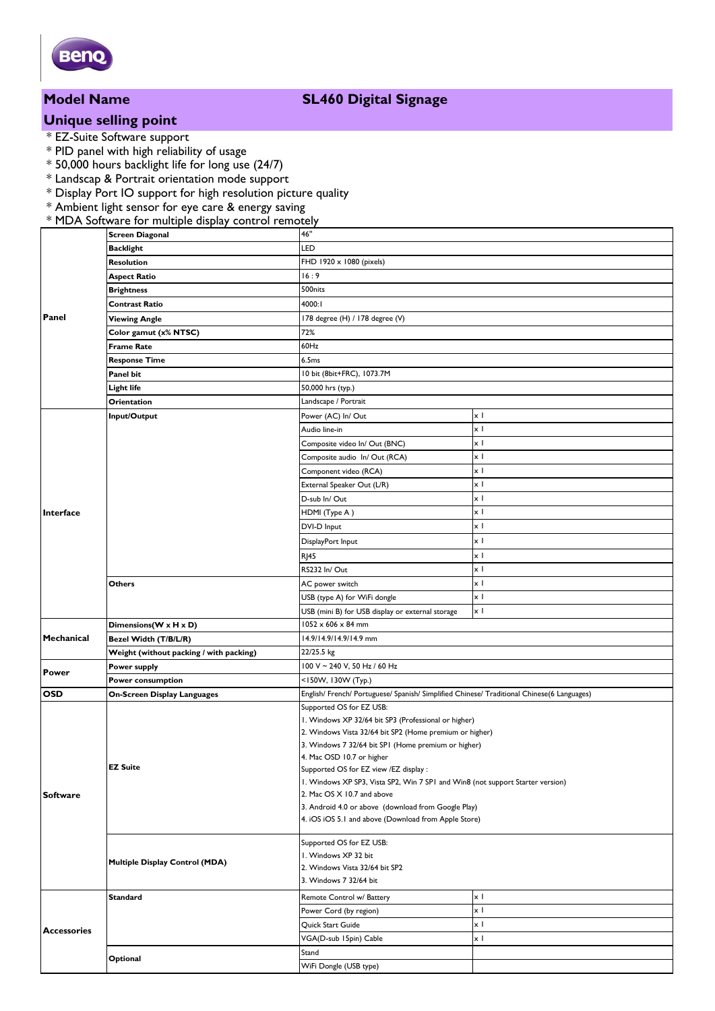

### **Model Name SL460 Digital Signage**

# **Unique selling point**

- \* EZ-Suite Software support
- \* PID panel with high reliability of usage
- \* 50,000 hours backlight life for long use (24/7)
- \* Landscap & Portrait orientation mode support
- \* Display Port IO support for high resolution picture quality
- \* Ambient light sensor for eye care & energy saving
- \* MDA Software for multiple display control remotely

|                    | <b>Screen Diagonal</b>                         | 46"                                                                                                         |                        |  |
|--------------------|------------------------------------------------|-------------------------------------------------------------------------------------------------------------|------------------------|--|
| Panel              | <b>Backlight</b>                               | LED                                                                                                         |                        |  |
|                    | <b>Resolution</b>                              | FHD 1920 x 1080 (pixels)                                                                                    |                        |  |
|                    | <b>Aspect Ratio</b>                            | 16:9                                                                                                        |                        |  |
|                    | <b>Brightness</b>                              | 500nits                                                                                                     |                        |  |
|                    | <b>Contrast Ratio</b>                          | 4000:I                                                                                                      |                        |  |
|                    | <b>Viewing Angle</b>                           | 178 degree (H) / 178 degree (V)                                                                             |                        |  |
|                    | Color gamut (x% NTSC)                          | 72%                                                                                                         |                        |  |
|                    | <b>Frame Rate</b>                              | 60Hz                                                                                                        |                        |  |
|                    | <b>Response Time</b>                           | 6.5ms                                                                                                       |                        |  |
|                    | Panel bit                                      | 10 bit (8bit+FRC), 1073.7M                                                                                  |                        |  |
|                    | <b>Light life</b>                              | 50,000 hrs (typ.)                                                                                           |                        |  |
| Interface          | Orientation                                    | Landscape / Portrait                                                                                        |                        |  |
|                    | Input/Output                                   | Power (AC) In/ Out<br>хI                                                                                    |                        |  |
|                    |                                                | Audio line-in                                                                                               | $\times$ 1             |  |
|                    |                                                | Composite video In/ Out (BNC)                                                                               | x I                    |  |
|                    |                                                | Composite audio In/ Out (RCA)                                                                               | xΙ                     |  |
|                    |                                                | Component video (RCA)                                                                                       | xΙ                     |  |
|                    |                                                | External Speaker Out (L/R)                                                                                  | $\times$ 1             |  |
|                    |                                                | D-sub In/ Out                                                                                               | xΙ                     |  |
|                    |                                                | HDMI (Type A)                                                                                               | x I                    |  |
|                    |                                                | DVI-D Input                                                                                                 | x I                    |  |
|                    |                                                | DisplayPort Input                                                                                           | хI                     |  |
|                    |                                                |                                                                                                             | x I                    |  |
|                    |                                                | <b>RJ45</b><br>RS232 In/Out                                                                                 | x I                    |  |
|                    | <b>Others</b>                                  |                                                                                                             | хI                     |  |
|                    |                                                | AC power switch                                                                                             | x I                    |  |
|                    |                                                | USB (type A) for WiFi dongle                                                                                | x I                    |  |
| Mechanical         |                                                | USB (mini B) for USB display or external storage<br>$1052 \times 606 \times 84$ mm                          |                        |  |
|                    | Dimensions(W x H x D)<br>Bezel Width (T/B/L/R) |                                                                                                             | 14.9/14.9/14.9/14.9 mm |  |
|                    | Weight (without packing / with packing)        | 22/25.5 kg                                                                                                  |                        |  |
| <b>Power</b>       | Power supply                                   | 100 V ~ 240 V, 50 Hz / 60 Hz                                                                                |                        |  |
|                    | Power consumption                              | <150W, 130W (Typ.)                                                                                          |                        |  |
| <b>OSD</b>         | <b>On-Screen Display Languages</b>             | English/ French/ Portuguese/ Spanish/ Simplified Chinese/ Traditional Chinese(6 Languages)                  |                        |  |
|                    |                                                | Supported OS for EZ USB:                                                                                    |                        |  |
| <b>Software</b>    | EZ Suite                                       | I. Windows XP 32/64 bit SP3 (Professional or higher)                                                        |                        |  |
|                    |                                                | 2. Windows Vista 32/64 bit SP2 (Home premium or higher)                                                     |                        |  |
|                    |                                                | 3. Windows 7 32/64 bit SPI (Home premium or higher)                                                         |                        |  |
|                    |                                                | 4. Mac OSD 10.7 or higher                                                                                   |                        |  |
|                    |                                                | Supported OS for EZ view /EZ display :                                                                      |                        |  |
|                    |                                                | I. Windows XP SP3, Vista SP2, Win 7 SPI and Win8 (not support Starter version)                              |                        |  |
|                    |                                                | 2. Mac OS X 10.7 and above                                                                                  |                        |  |
|                    |                                                | 3. Android 4.0 or above (download from Google Play)<br>4. iOS iOS 5.1 and above (Download from Apple Store) |                        |  |
|                    |                                                |                                                                                                             |                        |  |
|                    |                                                | Supported OS for EZ USB:                                                                                    |                        |  |
|                    | Multiple Display Control (MDA)                 | I. Windows XP 32 bit                                                                                        |                        |  |
|                    |                                                | 2. Windows Vista 32/64 bit SP2                                                                              |                        |  |
|                    |                                                | 3. Windows 7 32/64 bit                                                                                      |                        |  |
| <b>Accessories</b> | <b>Standard</b>                                | Remote Control w/ Battery                                                                                   | x I                    |  |
|                    |                                                | Power Cord (by region)                                                                                      | $\times$ 1             |  |
|                    |                                                | Quick Start Guide                                                                                           | xΙ                     |  |
|                    |                                                | VGA(D-sub 15pin) Cable                                                                                      | x I                    |  |
|                    |                                                | Stand                                                                                                       |                        |  |
|                    | Optional                                       | WiFi Dongle (USB type)                                                                                      |                        |  |